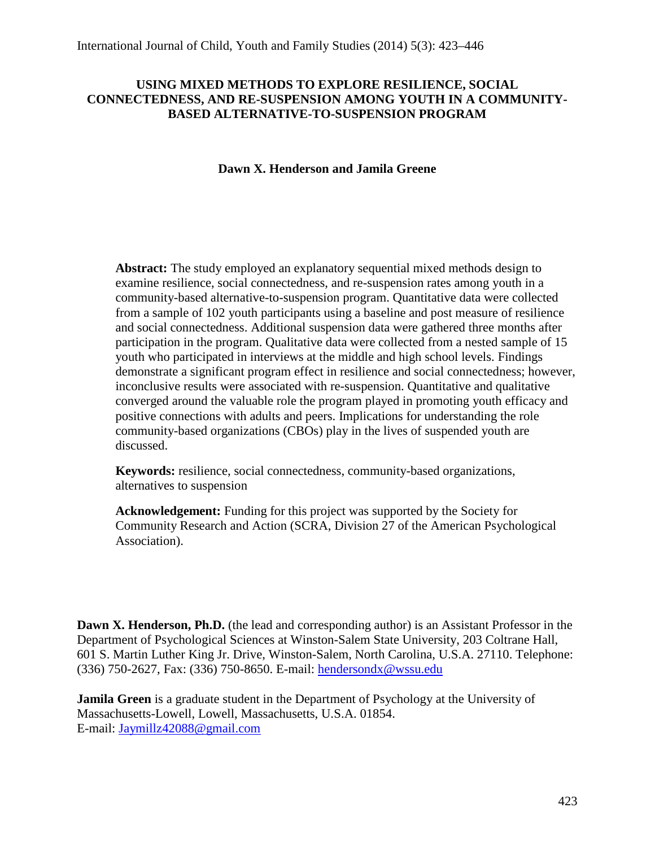## **USING MIXED METHODS TO EXPLORE RESILIENCE, SOCIAL CONNECTEDNESS, AND RE-SUSPENSION AMONG YOUTH IN A COMMUNITY-BASED ALTERNATIVE-TO-SUSPENSION PROGRAM**

## **Dawn X. Henderson and Jamila Greene**

**Abstract:** The study employed an explanatory sequential mixed methods design to examine resilience, social connectedness, and re-suspension rates among youth in a community-based alternative-to-suspension program. Quantitative data were collected from a sample of 102 youth participants using a baseline and post measure of resilience and social connectedness. Additional suspension data were gathered three months after participation in the program. Qualitative data were collected from a nested sample of 15 youth who participated in interviews at the middle and high school levels. Findings demonstrate a significant program effect in resilience and social connectedness; however, inconclusive results were associated with re-suspension. Quantitative and qualitative converged around the valuable role the program played in promoting youth efficacy and positive connections with adults and peers. Implications for understanding the role community-based organizations (CBOs) play in the lives of suspended youth are discussed.

**Keywords:** resilience, social connectedness, community-based organizations, alternatives to suspension

**Acknowledgement:** Funding for this project was supported by the Society for Community Research and Action (SCRA, Division 27 of the American Psychological Association).

**Dawn X. Henderson, Ph.D.** (the lead and corresponding author) is an Assistant Professor in the Department of Psychological Sciences at Winston-Salem State University, 203 Coltrane Hall, 601 S. Martin Luther King Jr. Drive, Winston-Salem, North Carolina, U.S.A. 27110. Telephone: (336) 750-2627, Fax: (336) 750-8650. E-mail: [hendersondx@wssu.edu](mailto:hendersondx@wssu.edu)

**Jamila Green** is a graduate student in the Department of Psychology at the University of Massachusetts-Lowell, Lowell, Massachusetts, U.S.A. 01854. E-mail: [Jaymillz42088@gmail.com](mailto:Jaymillz42088@gmail.com)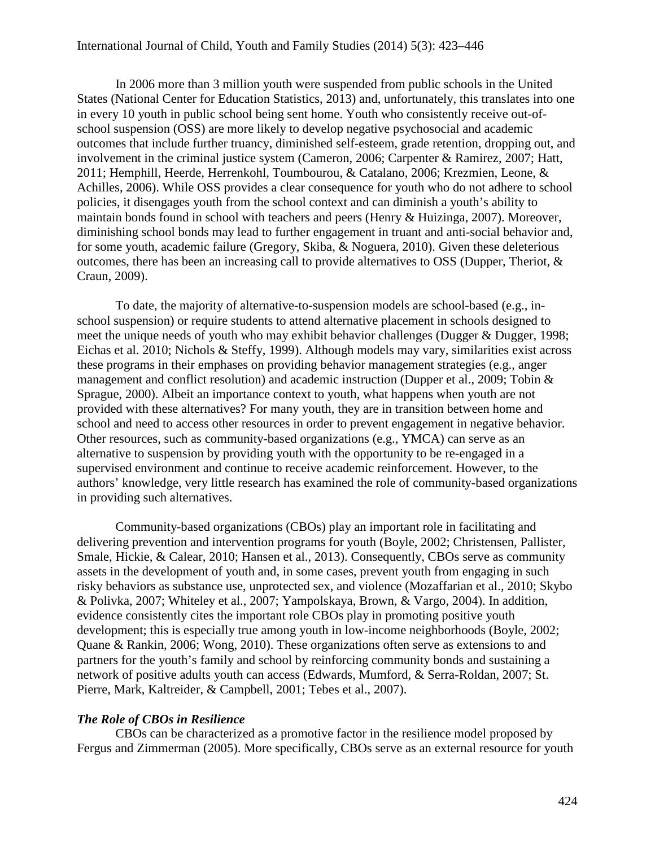In 2006 more than 3 million youth were suspended from public schools in the United States (National Center for Education Statistics, 2013) and, unfortunately, this translates into one in every 10 youth in public school being sent home. Youth who consistently receive out-ofschool suspension (OSS) are more likely to develop negative psychosocial and academic outcomes that include further truancy, diminished self-esteem, grade retention, dropping out, and involvement in the criminal justice system (Cameron, 2006; Carpenter & Ramirez, 2007; Hatt, 2011; Hemphill, Heerde, Herrenkohl, Toumbourou, & Catalano, 2006; Krezmien, Leone, & Achilles, 2006). While OSS provides a clear consequence for youth who do not adhere to school policies, it disengages youth from the school context and can diminish a youth's ability to maintain bonds found in school with teachers and peers (Henry & Huizinga, 2007). Moreover, diminishing school bonds may lead to further engagement in truant and anti-social behavior and, for some youth, academic failure (Gregory, Skiba, & Noguera, 2010). Given these deleterious outcomes, there has been an increasing call to provide alternatives to OSS (Dupper, Theriot,  $\&$ Craun, 2009).

To date, the majority of alternative-to-suspension models are school-based (e.g., inschool suspension) or require students to attend alternative placement in schools designed to meet the unique needs of youth who may exhibit behavior challenges (Dugger & Dugger, 1998; Eichas et al. 2010; Nichols & Steffy, 1999). Although models may vary, similarities exist across these programs in their emphases on providing behavior management strategies (e.g., anger management and conflict resolution) and academic instruction (Dupper et al., 2009; Tobin & Sprague, 2000). Albeit an importance context to youth, what happens when youth are not provided with these alternatives? For many youth, they are in transition between home and school and need to access other resources in order to prevent engagement in negative behavior. Other resources, such as community-based organizations (e.g., YMCA) can serve as an alternative to suspension by providing youth with the opportunity to be re-engaged in a supervised environment and continue to receive academic reinforcement. However, to the authors' knowledge, very little research has examined the role of community-based organizations in providing such alternatives.

Community-based organizations (CBOs) play an important role in facilitating and delivering prevention and intervention programs for youth (Boyle, 2002; Christensen, Pallister, Smale, Hickie, & Calear, 2010; Hansen et al., 2013). Consequently, CBOs serve as community assets in the development of youth and, in some cases, prevent youth from engaging in such risky behaviors as substance use, unprotected sex, and violence (Mozaffarian et al., 2010; Skybo & Polivka, 2007; Whiteley et al., 2007; Yampolskaya, Brown, & Vargo, 2004). In addition, evidence consistently cites the important role CBOs play in promoting positive youth development; this is especially true among youth in low-income neighborhoods (Boyle, 2002; Quane & Rankin, 2006; Wong, 2010). These organizations often serve as extensions to and partners for the youth's family and school by reinforcing community bonds and sustaining a network of positive adults youth can access (Edwards, Mumford, & Serra-Roldan, 2007; St. Pierre, Mark, Kaltreider, & Campbell, 2001; Tebes et al., 2007).

## *The Role of CBOs in Resilience*

CBOs can be characterized as a promotive factor in the resilience model proposed by Fergus and Zimmerman (2005). More specifically, CBOs serve as an external resource for youth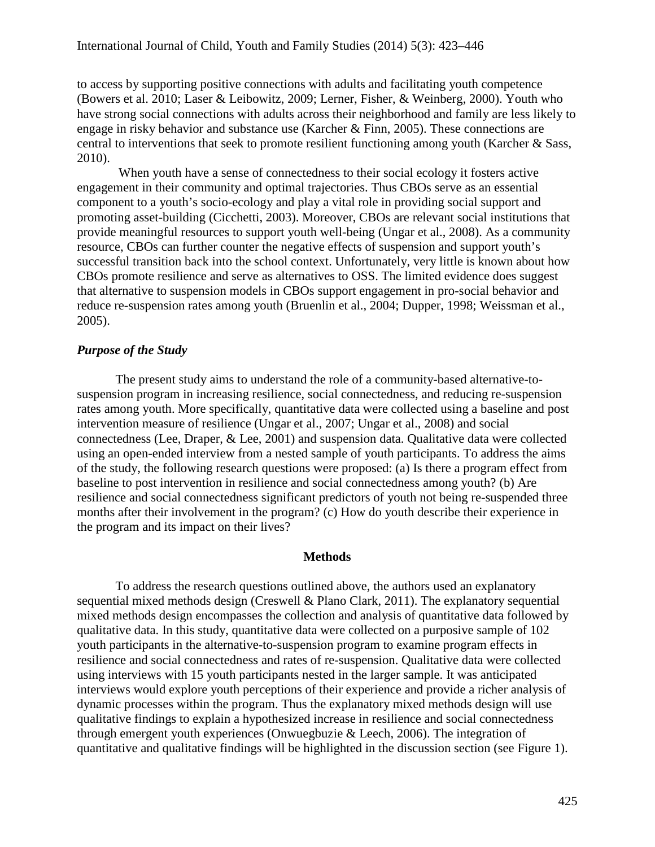to access by supporting positive connections with adults and facilitating youth competence (Bowers et al. 2010; Laser & Leibowitz, 2009; Lerner, Fisher, & Weinberg, 2000). Youth who have strong social connections with adults across their neighborhood and family are less likely to engage in risky behavior and substance use (Karcher & Finn, 2005). These connections are central to interventions that seek to promote resilient functioning among youth (Karcher & Sass, 2010).

When youth have a sense of connectedness to their social ecology it fosters active engagement in their community and optimal trajectories. Thus CBOs serve as an essential component to a youth's socio-ecology and play a vital role in providing social support and promoting asset-building (Cicchetti, 2003). Moreover, CBOs are relevant social institutions that provide meaningful resources to support youth well-being (Ungar et al., 2008). As a community resource, CBOs can further counter the negative effects of suspension and support youth's successful transition back into the school context. Unfortunately, very little is known about how CBOs promote resilience and serve as alternatives to OSS. The limited evidence does suggest that alternative to suspension models in CBOs support engagement in pro-social behavior and reduce re-suspension rates among youth (Bruenlin et al., 2004; Dupper, 1998; Weissman et al., 2005).

#### *Purpose of the Study*

The present study aims to understand the role of a community-based alternative-tosuspension program in increasing resilience, social connectedness, and reducing re-suspension rates among youth. More specifically, quantitative data were collected using a baseline and post intervention measure of resilience (Ungar et al., 2007; Ungar et al., 2008) and social connectedness (Lee, Draper, & Lee, 2001) and suspension data. Qualitative data were collected using an open-ended interview from a nested sample of youth participants. To address the aims of the study, the following research questions were proposed: (a) Is there a program effect from baseline to post intervention in resilience and social connectedness among youth? (b) Are resilience and social connectedness significant predictors of youth not being re-suspended three months after their involvement in the program? (c) How do youth describe their experience in the program and its impact on their lives?

#### **Methods**

To address the research questions outlined above, the authors used an explanatory sequential mixed methods design (Creswell & Plano Clark, 2011). The explanatory sequential mixed methods design encompasses the collection and analysis of quantitative data followed by qualitative data. In this study, quantitative data were collected on a purposive sample of 102 youth participants in the alternative-to-suspension program to examine program effects in resilience and social connectedness and rates of re-suspension. Qualitative data were collected using interviews with 15 youth participants nested in the larger sample. It was anticipated interviews would explore youth perceptions of their experience and provide a richer analysis of dynamic processes within the program. Thus the explanatory mixed methods design will use qualitative findings to explain a hypothesized increase in resilience and social connectedness through emergent youth experiences (Onwuegbuzie & Leech, 2006). The integration of quantitative and qualitative findings will be highlighted in the discussion section (see Figure 1).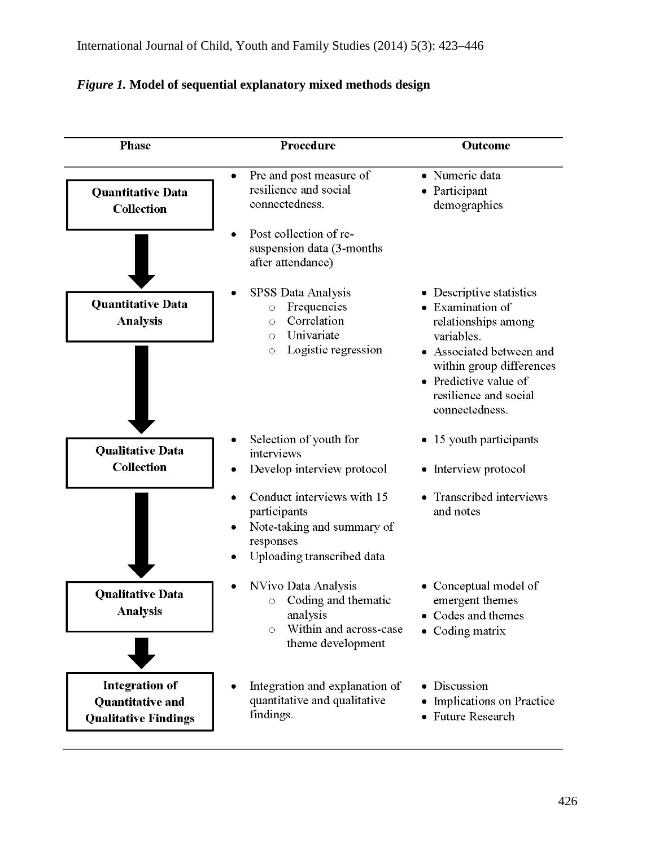# *Figure 1.* **Model of sequential explanatory mixed methods design**

| <b>Phase</b>                                                                    | Procedure                                                                                                                         | Outcome                                                                                                                                                                                                       |  |  |
|---------------------------------------------------------------------------------|-----------------------------------------------------------------------------------------------------------------------------------|---------------------------------------------------------------------------------------------------------------------------------------------------------------------------------------------------------------|--|--|
| <b>Quantitative Data</b><br><b>Collection</b>                                   | Pre and post measure of<br>resilience and social<br>connectedness.                                                                | · Numeric data<br>• Participant<br>demographics                                                                                                                                                               |  |  |
|                                                                                 | Post collection of re-<br>suspension data (3-months<br>after attendance)                                                          |                                                                                                                                                                                                               |  |  |
| <b>Quantitative Data</b><br><b>Analysis</b>                                     | SPSS Data Analysis<br>Frequencies<br>$\circ$<br>Correlation<br>$\circ$<br>Univariate<br>$\circ$<br>Logistic regression<br>$\circ$ | • Descriptive statistics<br>• Examination of<br>relationships among<br>variables.<br>• Associated between and<br>within group differences<br>• Predictive value of<br>resilience and social<br>connectedness. |  |  |
| <b>Qualitative Data</b><br><b>Collection</b>                                    | Selection of youth for<br>interviews<br>Develop interview protocol                                                                | • 15 youth participants<br>• Interview protocol                                                                                                                                                               |  |  |
|                                                                                 | Conduct interviews with 15<br>participants<br>Note-taking and summary of<br>responses<br>Uploading transcribed data               | Transcribed interviews<br>and notes                                                                                                                                                                           |  |  |
| <b>Qualitative Data</b><br><b>Analysis</b>                                      | NVivo Data Analysis<br>Coding and thematic<br>$\circ$<br>analysis<br>Within and across-case<br>$\circ$<br>theme development       | Conceptual model of<br>emergent themes<br>Codes and themes<br>• Coding matrix                                                                                                                                 |  |  |
| <b>Integration of</b><br><b>Quantitative and</b><br><b>Qualitative Findings</b> | Integration and explanation of<br>quantitative and qualitative<br>findings.                                                       | • Discussion<br>Implications on Practice<br>• Future Research                                                                                                                                                 |  |  |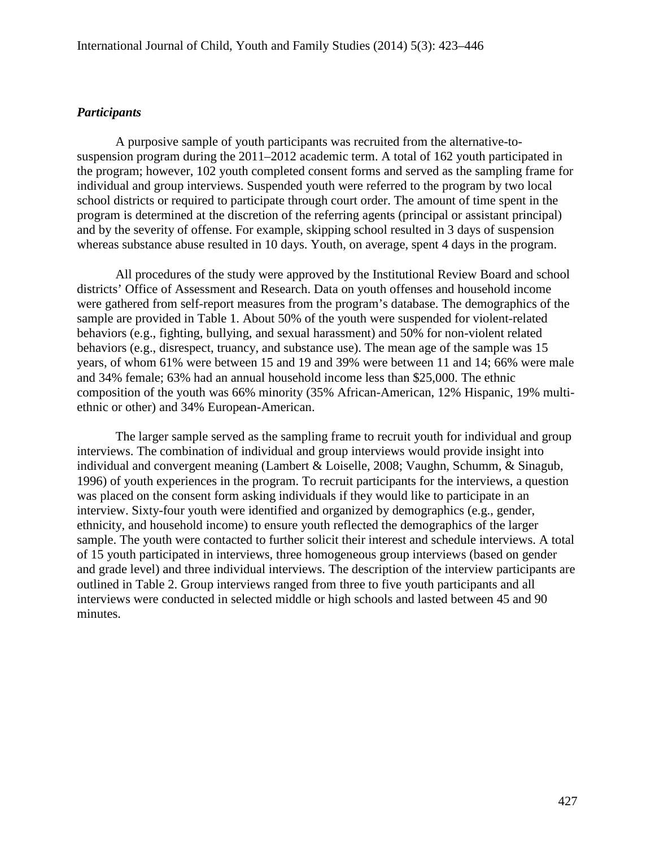#### *Participants*

A purposive sample of youth participants was recruited from the alternative-tosuspension program during the 2011–2012 academic term. A total of 162 youth participated in the program; however, 102 youth completed consent forms and served as the sampling frame for individual and group interviews. Suspended youth were referred to the program by two local school districts or required to participate through court order. The amount of time spent in the program is determined at the discretion of the referring agents (principal or assistant principal) and by the severity of offense. For example, skipping school resulted in 3 days of suspension whereas substance abuse resulted in 10 days. Youth, on average, spent 4 days in the program.

All procedures of the study were approved by the Institutional Review Board and school districts' Office of Assessment and Research. Data on youth offenses and household income were gathered from self-report measures from the program's database. The demographics of the sample are provided in Table 1. About 50% of the youth were suspended for violent-related behaviors (e.g., fighting, bullying, and sexual harassment) and 50% for non-violent related behaviors (e.g., disrespect, truancy, and substance use). The mean age of the sample was 15 years, of whom 61% were between 15 and 19 and 39% were between 11 and 14; 66% were male and 34% female; 63% had an annual household income less than \$25,000. The ethnic composition of the youth was 66% minority (35% African-American, 12% Hispanic, 19% multiethnic or other) and 34% European-American.

The larger sample served as the sampling frame to recruit youth for individual and group interviews. The combination of individual and group interviews would provide insight into individual and convergent meaning (Lambert & Loiselle, 2008; Vaughn, Schumm, & Sinagub, 1996) of youth experiences in the program. To recruit participants for the interviews, a question was placed on the consent form asking individuals if they would like to participate in an interview. Sixty-four youth were identified and organized by demographics (e.g., gender, ethnicity, and household income) to ensure youth reflected the demographics of the larger sample. The youth were contacted to further solicit their interest and schedule interviews. A total of 15 youth participated in interviews, three homogeneous group interviews (based on gender and grade level) and three individual interviews. The description of the interview participants are outlined in Table 2. Group interviews ranged from three to five youth participants and all interviews were conducted in selected middle or high schools and lasted between 45 and 90 minutes.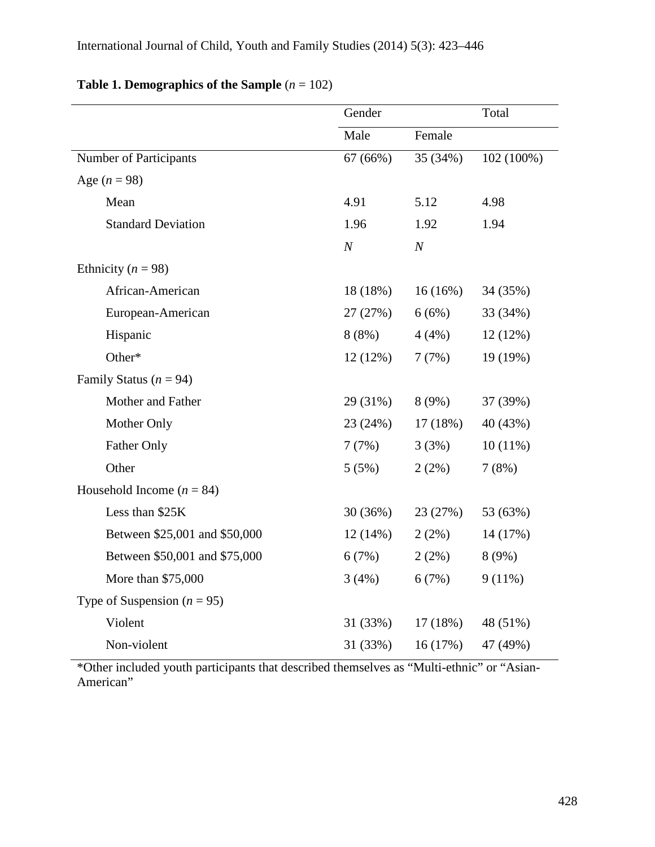|                                 | Gender   |                  | Total      |  |
|---------------------------------|----------|------------------|------------|--|
|                                 | Male     | Female           |            |  |
| Number of Participants          | 67 (66%) | 35 (34%)         | 102 (100%) |  |
| Age $(n = 98)$                  |          |                  |            |  |
| Mean                            | 4.91     | 5.12             | 4.98       |  |
| <b>Standard Deviation</b>       | 1.96     | 1.92             | 1.94       |  |
|                                 | $\cal N$ | $\boldsymbol{N}$ |            |  |
| Ethnicity ( $n = 98$ )          |          |                  |            |  |
| African-American                | 18 (18%) | 16(16%)          | 34 (35%)   |  |
| European-American               | 27(27%)  | 6(6%)            | 33 (34%)   |  |
| Hispanic                        | $8(8\%)$ | 4(4%)            | 12(12%)    |  |
| Other*                          | 12(12%)  | 7(7%)            | 19 (19%)   |  |
| Family Status ( $n = 94$ )      |          |                  |            |  |
| Mother and Father               | 29 (31%) | 8(9%)            | 37 (39%)   |  |
| Mother Only                     | 23 (24%) | 17(18%)          | 40 (43%)   |  |
| Father Only                     | 7(7%)    | 3(3%)            | $10(11\%)$ |  |
| Other                           | 5(5%)    | 2(2%)            | 7(8%)      |  |
| Household Income ( $n = 84$ )   |          |                  |            |  |
| Less than \$25K                 | 30(36%)  | 23 (27%)         | 53 (63%)   |  |
| Between \$25,001 and \$50,000   | 12(14%)  | 2(2%)            | 14 (17%)   |  |
| Between \$50,001 and \$75,000   | 6(7%)    | 2(2%)            | 8(9%)      |  |
| More than \$75,000              | 3(4%)    | 6(7%)            | $9(11\%)$  |  |
| Type of Suspension ( $n = 95$ ) |          |                  |            |  |
| Violent                         | 31 (33%) | 17(18%)          | 48 (51%)   |  |
| Non-violent                     | 31 (33%) | 16(17%)          | 47 (49%)   |  |

## **Table 1. Demographics of the Sample** (*n* = 102)

\*Other included youth participants that described themselves as "Multi-ethnic" or "Asian-American"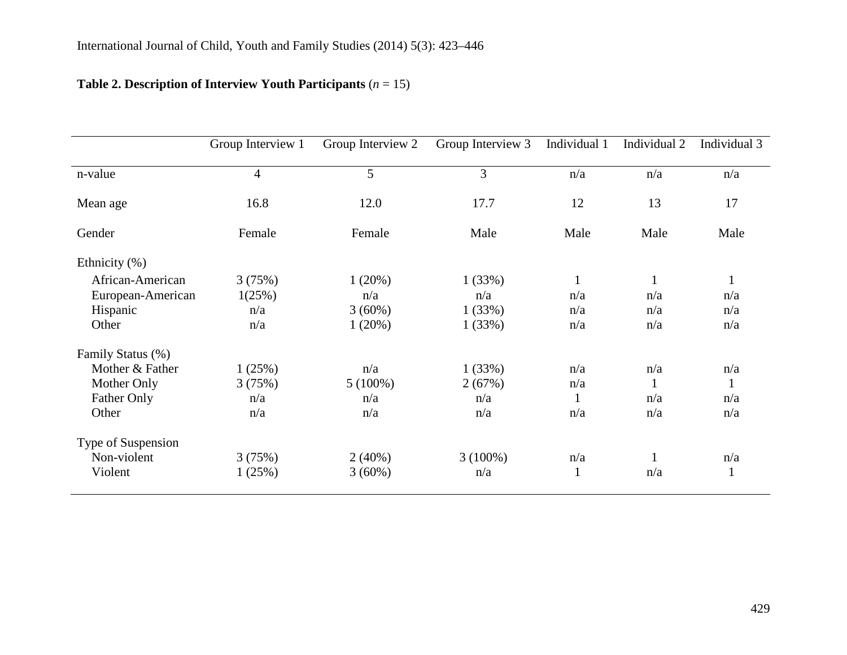# **Table 2. Description of Interview Youth Participants** (*n* = 15)

|                    | Group Interview 1 | Group Interview 2 | Group Interview 3 | Individual 1 | Individual 2 | Individual 3 |
|--------------------|-------------------|-------------------|-------------------|--------------|--------------|--------------|
| n-value            | $\overline{4}$    | 5                 | 3                 | n/a          | n/a          | n/a          |
| Mean age           | 16.8              | 12.0              | 17.7              | 12           | 13           | 17           |
| Gender             | Female            | Female            | Male              | Male         | Male         | Male         |
| Ethnicity $(\%)$   |                   |                   |                   |              |              |              |
| African-American   | 3(75%)            | 1(20%)            | 1(33%)            | $\mathbf{1}$ | $\mathbf{1}$ | $\mathbf{1}$ |
| European-American  | 1(25%)            | n/a               | n/a               | n/a          | n/a          | n/a          |
| Hispanic           | n/a               | $3(60\%)$         | 1(33%)            | n/a          | n/a          | n/a          |
| Other              | n/a               | 1(20%)            | 1(33%)            | n/a          | n/a          | n/a          |
| Family Status (%)  |                   |                   |                   |              |              |              |
| Mother & Father    | 1(25%)            | n/a               | 1(33%)            | n/a          | n/a          | n/a          |
| Mother Only        | 3(75%)            | $5(100\%)$        | 2(67%)            | n/a          | $\mathbf{1}$ | 1            |
| <b>Father Only</b> | n/a               | n/a               | n/a               | 1            | n/a          | n/a          |
| Other              | n/a               | n/a               | n/a               | n/a          | n/a          | n/a          |
| Type of Suspension |                   |                   |                   |              |              |              |
| Non-violent        | 3(75%)            | $2(40\%)$         | $3(100\%)$        | n/a          | 1            | n/a          |
| Violent            | 1(25%)            | $3(60\%)$         | n/a               | $\mathbf{1}$ | n/a          | $\mathbf{1}$ |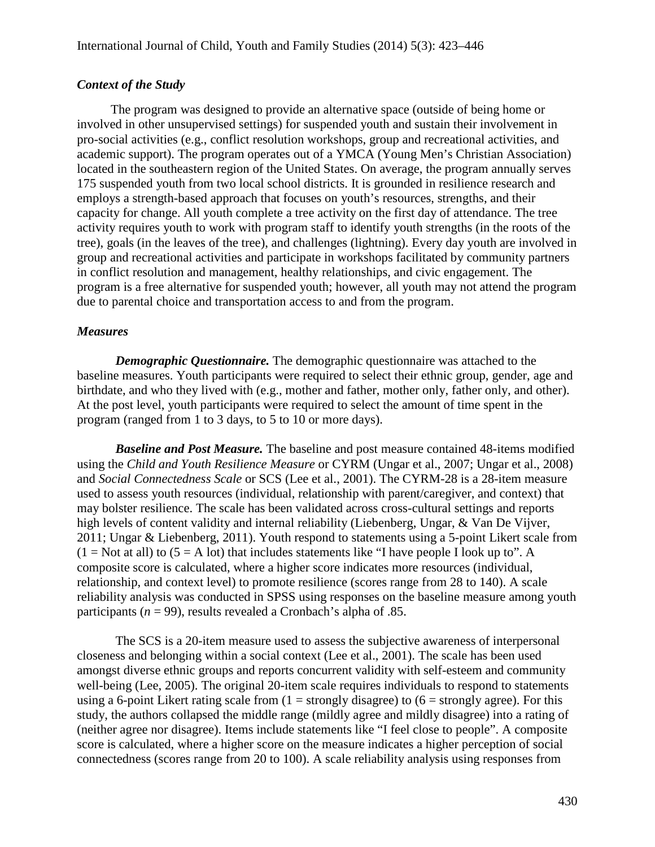## *Context of the Study*

The program was designed to provide an alternative space (outside of being home or involved in other unsupervised settings) for suspended youth and sustain their involvement in pro-social activities (e.g., conflict resolution workshops, group and recreational activities, and academic support). The program operates out of a YMCA (Young Men's Christian Association) located in the southeastern region of the United States. On average, the program annually serves 175 suspended youth from two local school districts. It is grounded in resilience research and employs a strength-based approach that focuses on youth's resources, strengths, and their capacity for change. All youth complete a tree activity on the first day of attendance. The tree activity requires youth to work with program staff to identify youth strengths (in the roots of the tree), goals (in the leaves of the tree), and challenges (lightning). Every day youth are involved in group and recreational activities and participate in workshops facilitated by community partners in conflict resolution and management, healthy relationships, and civic engagement. The program is a free alternative for suspended youth; however, all youth may not attend the program due to parental choice and transportation access to and from the program.

## *Measures*

*Demographic Questionnaire.* The demographic questionnaire was attached to the baseline measures. Youth participants were required to select their ethnic group, gender, age and birthdate, and who they lived with (e.g., mother and father, mother only, father only, and other). At the post level, youth participants were required to select the amount of time spent in the program (ranged from 1 to 3 days, to 5 to 10 or more days).

*Baseline and Post Measure.* The baseline and post measure contained 48-items modified using the *Child and Youth Resilience Measure* or CYRM (Ungar et al., 2007; Ungar et al., 2008) and *Social Connectedness Scale* or SCS (Lee et al., 2001). The CYRM-28 is a 28-item measure used to assess youth resources (individual, relationship with parent/caregiver, and context) that may bolster resilience. The scale has been validated across cross-cultural settings and reports high levels of content validity and internal reliability (Liebenberg, Ungar, & Van De Vijver, 2011; Ungar & Liebenberg, 2011). Youth respond to statements using a 5-point Likert scale from  $(1 = Not at all)$  to  $(5 = A lot)$  that includes statements like "I have people I look up to". A composite score is calculated, where a higher score indicates more resources (individual, relationship, and context level) to promote resilience (scores range from 28 to 140). A scale reliability analysis was conducted in SPSS using responses on the baseline measure among youth participants ( $n = 99$ ), results revealed a Cronbach's alpha of .85.

The SCS is a 20-item measure used to assess the subjective awareness of interpersonal closeness and belonging within a social context (Lee et al., 2001). The scale has been used amongst diverse ethnic groups and reports concurrent validity with self-esteem and community well-being (Lee, 2005). The original 20-item scale requires individuals to respond to statements using a 6-point Likert rating scale from  $(1 =$  strongly disagree) to  $(6 =$  strongly agree). For this study, the authors collapsed the middle range (mildly agree and mildly disagree) into a rating of (neither agree nor disagree). Items include statements like "I feel close to people". A composite score is calculated, where a higher score on the measure indicates a higher perception of social connectedness (scores range from 20 to 100). A scale reliability analysis using responses from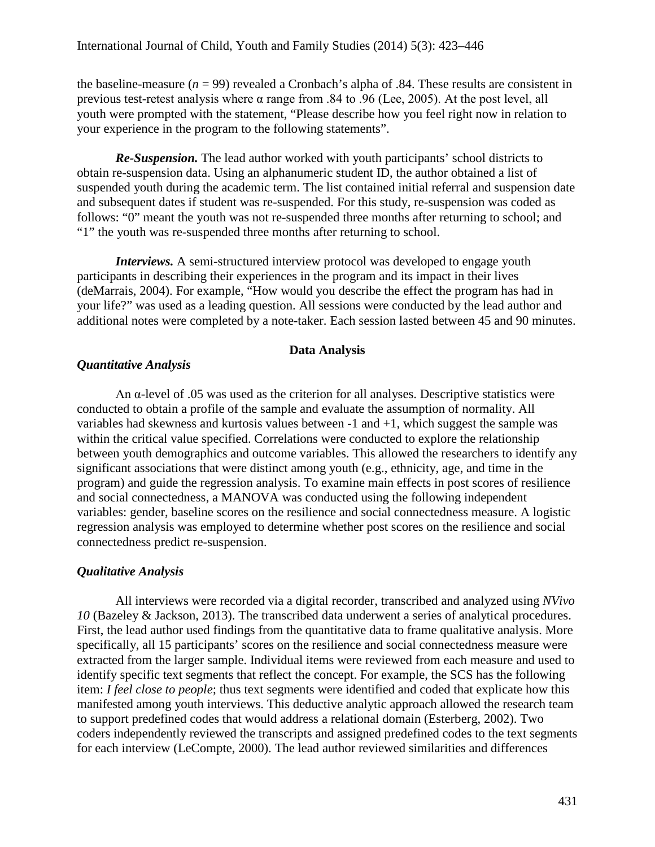the baseline-measure  $(n = 99)$  revealed a Cronbach's alpha of .84. These results are consistent in previous test-retest analysis where  $\alpha$  range from .84 to .96 (Lee, 2005). At the post level, all youth were prompted with the statement, "Please describe how you feel right now in relation to your experience in the program to the following statements".

*Re-Suspension.* The lead author worked with youth participants' school districts to obtain re-suspension data. Using an alphanumeric student ID, the author obtained a list of suspended youth during the academic term. The list contained initial referral and suspension date and subsequent dates if student was re-suspended. For this study, re-suspension was coded as follows: "0" meant the youth was not re-suspended three months after returning to school; and "1" the youth was re-suspended three months after returning to school.

*Interviews.* A semi-structured interview protocol was developed to engage youth participants in describing their experiences in the program and its impact in their lives (deMarrais, 2004). For example, "How would you describe the effect the program has had in your life?" was used as a leading question. All sessions were conducted by the lead author and additional notes were completed by a note-taker. Each session lasted between 45 and 90 minutes.

## **Data Analysis**

## *Quantitative Analysis*

An  $\alpha$ -level of .05 was used as the criterion for all analyses. Descriptive statistics were conducted to obtain a profile of the sample and evaluate the assumption of normality. All variables had skewness and kurtosis values between -1 and +1, which suggest the sample was within the critical value specified. Correlations were conducted to explore the relationship between youth demographics and outcome variables. This allowed the researchers to identify any significant associations that were distinct among youth (e.g., ethnicity, age, and time in the program) and guide the regression analysis. To examine main effects in post scores of resilience and social connectedness, a MANOVA was conducted using the following independent variables: gender, baseline scores on the resilience and social connectedness measure. A logistic regression analysis was employed to determine whether post scores on the resilience and social connectedness predict re-suspension.

## *Qualitative Analysis*

All interviews were recorded via a digital recorder, transcribed and analyzed using *NVivo 10* (Bazeley & Jackson, 2013). The transcribed data underwent a series of analytical procedures. First, the lead author used findings from the quantitative data to frame qualitative analysis. More specifically, all 15 participants' scores on the resilience and social connectedness measure were extracted from the larger sample. Individual items were reviewed from each measure and used to identify specific text segments that reflect the concept. For example, the SCS has the following item: *I feel close to people*; thus text segments were identified and coded that explicate how this manifested among youth interviews. This deductive analytic approach allowed the research team to support predefined codes that would address a relational domain (Esterberg, 2002). Two coders independently reviewed the transcripts and assigned predefined codes to the text segments for each interview (LeCompte, 2000). The lead author reviewed similarities and differences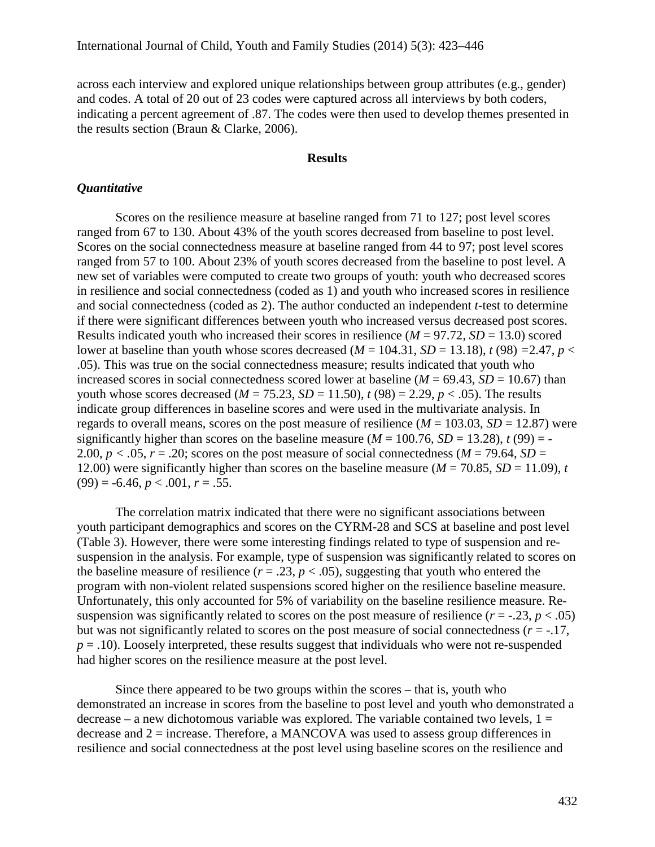across each interview and explored unique relationships between group attributes (e.g., gender) and codes. A total of 20 out of 23 codes were captured across all interviews by both coders, indicating a percent agreement of .87. The codes were then used to develop themes presented in the results section (Braun & Clarke, 2006).

#### **Results**

#### *Quantitative*

Scores on the resilience measure at baseline ranged from 71 to 127; post level scores ranged from 67 to 130. About 43% of the youth scores decreased from baseline to post level. Scores on the social connectedness measure at baseline ranged from 44 to 97; post level scores ranged from 57 to 100. About 23% of youth scores decreased from the baseline to post level. A new set of variables were computed to create two groups of youth: youth who decreased scores in resilience and social connectedness (coded as 1) and youth who increased scores in resilience and social connectedness (coded as 2). The author conducted an independent *t*-test to determine if there were significant differences between youth who increased versus decreased post scores. Results indicated youth who increased their scores in resilience  $(M = 97.72, SD = 13.0)$  scored lower at baseline than youth whose scores decreased ( $M = 104.31$ ,  $SD = 13.18$ ),  $t (98) = 2.47$ ,  $p <$ .05). This was true on the social connectedness measure; results indicated that youth who increased scores in social connectedness scored lower at baseline ( $M = 69.43$ ,  $SD = 10.67$ ) than youth whose scores decreased ( $M = 75.23$ ,  $SD = 11.50$ ),  $t(98) = 2.29$ ,  $p < .05$ ). The results indicate group differences in baseline scores and were used in the multivariate analysis. In regards to overall means, scores on the post measure of resilience  $(M = 103.03, SD = 12.87)$  were significantly higher than scores on the baseline measure ( $M = 100.76$ ,  $SD = 13.28$ ),  $t(99) = -$ 2.00,  $p < .05$ ,  $r = .20$ ; scores on the post measure of social connectedness ( $M = 79.64$ ,  $SD =$ 12.00) were significantly higher than scores on the baseline measure  $(M = 70.85, SD = 11.09)$ , *t*  $(99) = -6.46, p < .001, r = .55.$ 

The correlation matrix indicated that there were no significant associations between youth participant demographics and scores on the CYRM-28 and SCS at baseline and post level (Table 3). However, there were some interesting findings related to type of suspension and resuspension in the analysis. For example, type of suspension was significantly related to scores on the baseline measure of resilience  $(r = .23, p < .05)$ , suggesting that youth who entered the program with non-violent related suspensions scored higher on the resilience baseline measure. Unfortunately, this only accounted for 5% of variability on the baseline resilience measure. Resuspension was significantly related to scores on the post measure of resilience  $(r = -.23, p < .05)$ but was not significantly related to scores on the post measure of social connectedness (*r* = -.17,  $p = .10$ ). Loosely interpreted, these results suggest that individuals who were not re-suspended had higher scores on the resilience measure at the post level.

Since there appeared to be two groups within the scores – that is, youth who demonstrated an increase in scores from the baseline to post level and youth who demonstrated a decrease – a new dichotomous variable was explored. The variable contained two levels,  $1 =$ decrease and 2 = increase. Therefore, a MANCOVA was used to assess group differences in resilience and social connectedness at the post level using baseline scores on the resilience and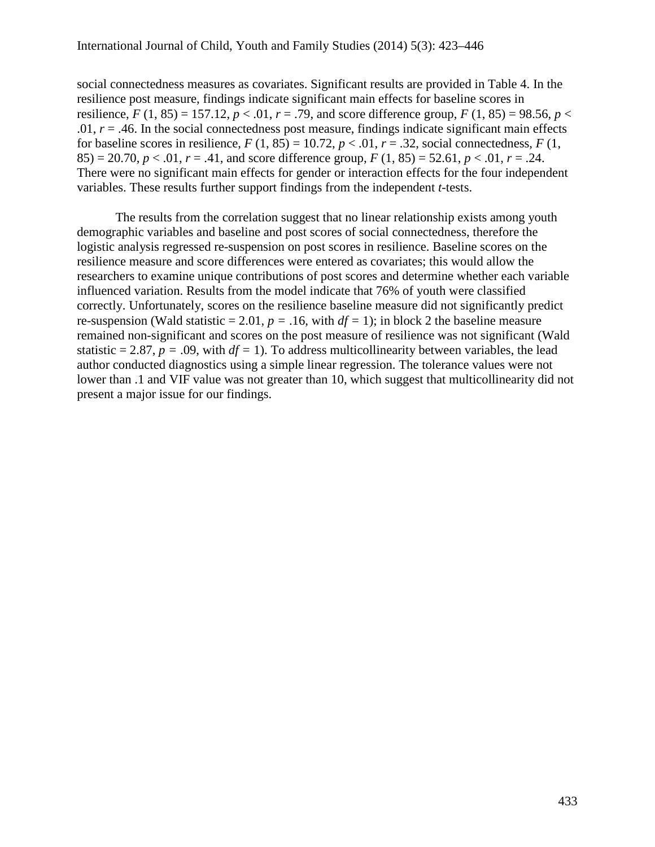social connectedness measures as covariates. Significant results are provided in Table 4. In the resilience post measure, findings indicate significant main effects for baseline scores in resilience,  $F(1, 85) = 157.12$ ,  $p < .01$ ,  $r = .79$ , and score difference group,  $F(1, 85) = 98.56$ ,  $p <$ .01,  $r = .46$ . In the social connectedness post measure, findings indicate significant main effects for baseline scores in resilience,  $F(1, 85) = 10.72$ ,  $p < .01$ ,  $r = .32$ , social connectedness,  $F(1,$ 85) = 20.70,  $p < 0.01$ ,  $r = .41$ , and score difference group,  $F(1, 85) = 52.61$ ,  $p < 0.01$ ,  $r = .24$ . There were no significant main effects for gender or interaction effects for the four independent variables. These results further support findings from the independent *t*-tests.

The results from the correlation suggest that no linear relationship exists among youth demographic variables and baseline and post scores of social connectedness, therefore the logistic analysis regressed re-suspension on post scores in resilience. Baseline scores on the resilience measure and score differences were entered as covariates; this would allow the researchers to examine unique contributions of post scores and determine whether each variable influenced variation. Results from the model indicate that 76% of youth were classified correctly. Unfortunately, scores on the resilience baseline measure did not significantly predict re-suspension (Wald statistic = 2.01,  $p = .16$ , with  $df = 1$ ); in block 2 the baseline measure remained non-significant and scores on the post measure of resilience was not significant (Wald statistic = 2.87,  $p = .09$ , with  $df = 1$ ). To address multicollinearity between variables, the lead author conducted diagnostics using a simple linear regression. The tolerance values were not lower than .1 and VIF value was not greater than 10, which suggest that multicollinearity did not present a major issue for our findings.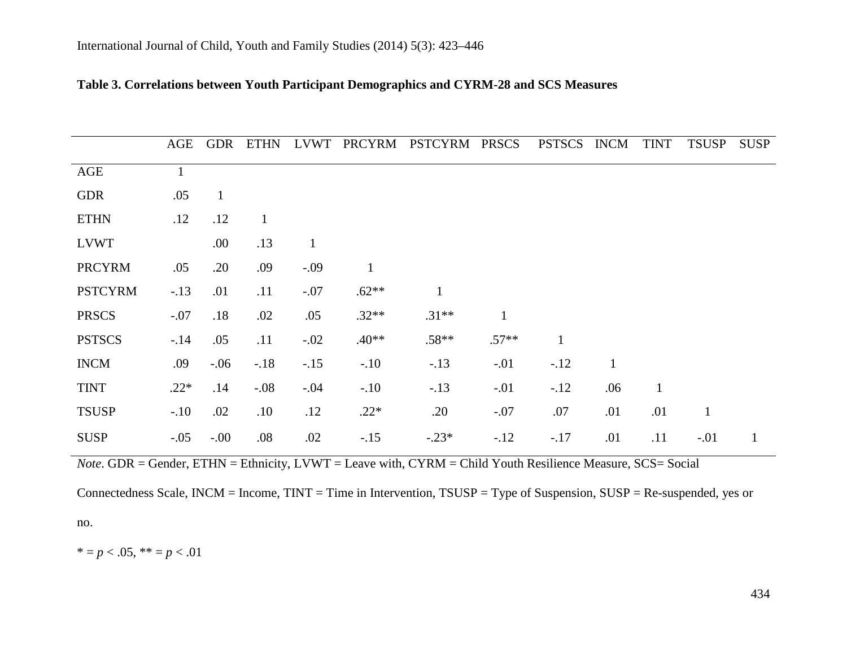|                | AGE          | <b>GDR</b> | <b>ETHN</b>  | <b>LVWT</b>  | PRCYRM       | PSTCYRM PRSCS |              | <b>PSTSCS</b> | <b>INCM</b>  | <b>TINT</b>  | <b>TSUSP</b> | <b>SUSP</b>  |
|----------------|--------------|------------|--------------|--------------|--------------|---------------|--------------|---------------|--------------|--------------|--------------|--------------|
| <b>AGE</b>     | $\mathbf{1}$ |            |              |              |              |               |              |               |              |              |              |              |
| <b>GDR</b>     | .05          |            |              |              |              |               |              |               |              |              |              |              |
| <b>ETHN</b>    | .12          | .12        | $\mathbf{1}$ |              |              |               |              |               |              |              |              |              |
| <b>LVWT</b>    |              | .00.       | .13          | $\mathbf{1}$ |              |               |              |               |              |              |              |              |
| <b>PRCYRM</b>  | .05          | .20        | .09          | $-.09$       | $\mathbf{1}$ |               |              |               |              |              |              |              |
| <b>PSTCYRM</b> | $-.13$       | .01        | .11          | $-.07$       | $.62**$      |               |              |               |              |              |              |              |
| <b>PRSCS</b>   | $-.07$       | .18        | .02          | .05          | $.32**$      | $.31**$       | $\mathbf{1}$ |               |              |              |              |              |
| <b>PSTSCS</b>  | $-.14$       | .05        | .11          | $-.02$       | $.40**$      | $.58**$       | $.57**$      | $\mathbf{1}$  |              |              |              |              |
| <b>INCM</b>    | .09          | $-.06$     | $-.18$       | $-.15$       | $-.10$       | $-.13$        | $-.01$       | $-.12$        | $\mathbf{1}$ |              |              |              |
| <b>TINT</b>    | $.22*$       | .14        | $-.08$       | $-.04$       | $-.10$       | $-.13$        | $-.01$       | $-.12$        | .06          | $\mathbf{1}$ |              |              |
| <b>TSUSP</b>   | $-.10$       | .02        | .10          | .12          | $.22*$       | .20           | $-.07$       | .07           | .01          | .01          | $\mathbf{1}$ |              |
| <b>SUSP</b>    | $-.05$       | $-.00$     | .08          | .02          | $-.15$       | $-.23*$       | $-.12$       | $-.17$        | .01          | .11          | $-.01$       | $\mathbf{1}$ |

## **Table 3. Correlations between Youth Participant Demographics and CYRM-28 and SCS Measures**

*Note*. GDR = Gender, ETHN = Ethnicity, LVWT = Leave with, CYRM = Child Youth Resilience Measure, SCS= Social

Connectedness Scale, INCM = Income, TINT = Time in Intervention, TSUSP = Type of Suspension, SUSP = Re-suspended, yes or no.

 $* = p < .05, ** = p < .01$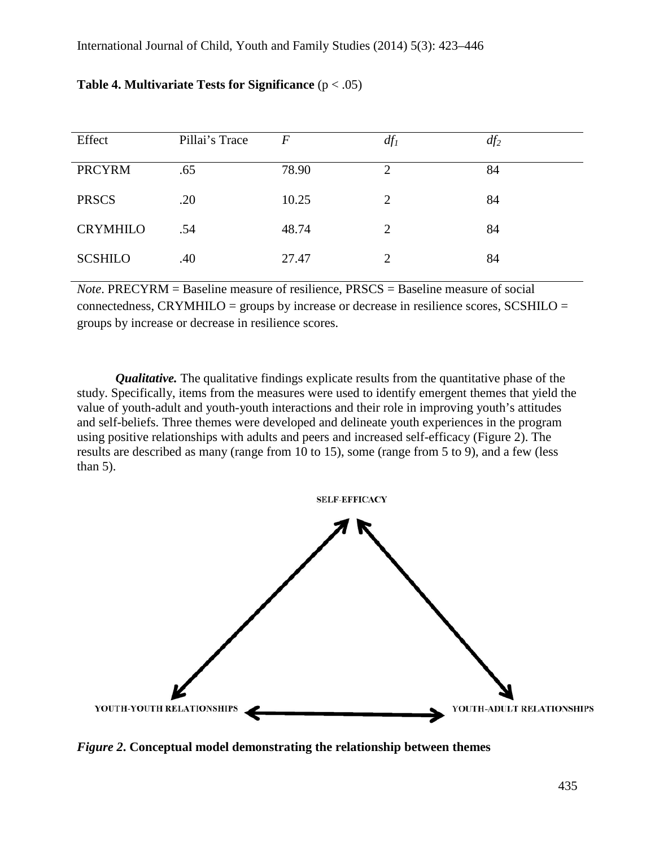| Effect          | Pillai's Trace |       | $df_l$ | $df_2$ |
|-----------------|----------------|-------|--------|--------|
| <b>PRCYRM</b>   | .65            | 78.90 | 2      | 84     |
| <b>PRSCS</b>    | .20            | 10.25 | 2      | 84     |
| <b>CRYMHILO</b> | .54            | 48.74 | 2      | 84     |
| <b>SCSHILO</b>  | .40            | 27.47 | 2      | 84     |

## **Table 4. Multivariate Tests for Significance** (p < .05)

*Note*. PRECYRM = Baseline measure of resilience, PRSCS = Baseline measure of social connectedness, CRYMHILO = groups by increase or decrease in resilience scores, SCSHILO = groups by increase or decrease in resilience scores.

*Qualitative*. The qualitative findings explicate results from the quantitative phase of the study. Specifically, items from the measures were used to identify emergent themes that yield the value of youth-adult and youth-youth interactions and their role in improving youth's attitudes and self-beliefs. Three themes were developed and delineate youth experiences in the program using positive relationships with adults and peers and increased self-efficacy (Figure 2). The results are described as many (range from 10 to 15), some (range from 5 to 9), and a few (less than  $5$ ).



*Figure 2***. Conceptual model demonstrating the relationship between themes**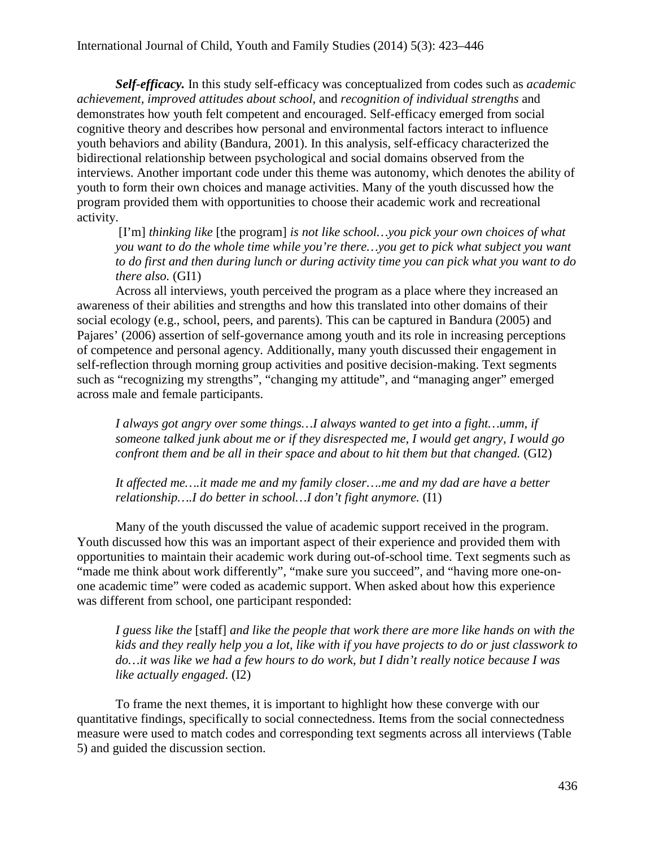*Self-efficacy.* In this study self-efficacy was conceptualized from codes such as *academic achievement, improved attitudes about school,* and *recognition of individual strengths* and demonstrates how youth felt competent and encouraged. Self-efficacy emerged from social cognitive theory and describes how personal and environmental factors interact to influence youth behaviors and ability (Bandura, 2001). In this analysis, self-efficacy characterized the bidirectional relationship between psychological and social domains observed from the interviews. Another important code under this theme was autonomy, which denotes the ability of youth to form their own choices and manage activities. Many of the youth discussed how the program provided them with opportunities to choose their academic work and recreational activity.

[I'm] *thinking like* [the program] *is not like school…you pick your own choices of what you want to do the whole time while you're there…you get to pick what subject you want to do first and then during lunch or during activity time you can pick what you want to do there also.* (GI1)

Across all interviews, youth perceived the program as a place where they increased an awareness of their abilities and strengths and how this translated into other domains of their social ecology (e.g., school, peers, and parents). This can be captured in Bandura (2005) and Pajares' (2006) assertion of self-governance among youth and its role in increasing perceptions of competence and personal agency. Additionally, many youth discussed their engagement in self-reflection through morning group activities and positive decision-making. Text segments such as "recognizing my strengths", "changing my attitude", and "managing anger" emerged across male and female participants.

*I always got angry over some things...I always wanted to get into a fight...umm, if someone talked junk about me or if they disrespected me, I would get angry, I would go confront them and be all in their space and about to hit them but that changed.* (GI2)

*It affected me….it made me and my family closer….me and my dad are have a better relationship….I do better in school…I don't fight anymore.* (I1)

Many of the youth discussed the value of academic support received in the program. Youth discussed how this was an important aspect of their experience and provided them with opportunities to maintain their academic work during out-of-school time. Text segments such as "made me think about work differently", "make sure you succeed", and "having more one-onone academic time" were coded as academic support. When asked about how this experience was different from school, one participant responded:

*I guess like the* [staff] *and like the people that work there are more like hands on with the kids and they really help you a lot, like with if you have projects to do or just classwork to do…it was like we had a few hours to do work, but I didn't really notice because I was like actually engaged*. (I2)

To frame the next themes, it is important to highlight how these converge with our quantitative findings, specifically to social connectedness. Items from the social connectedness measure were used to match codes and corresponding text segments across all interviews (Table 5) and guided the discussion section.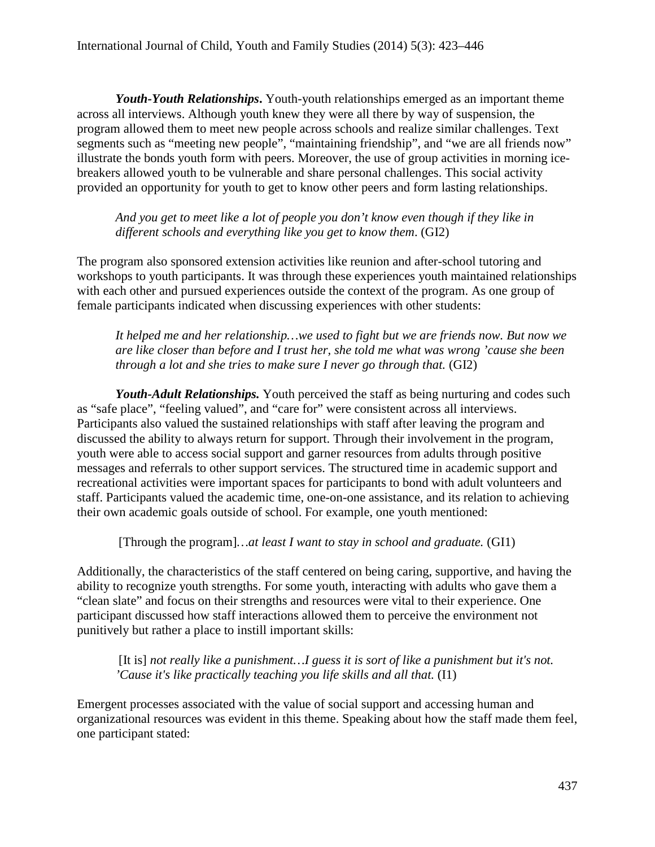*Youth-Youth Relationships***.** Youth-youth relationships emerged as an important theme across all interviews. Although youth knew they were all there by way of suspension, the program allowed them to meet new people across schools and realize similar challenges. Text segments such as "meeting new people", "maintaining friendship", and "we are all friends now" illustrate the bonds youth form with peers. Moreover, the use of group activities in morning icebreakers allowed youth to be vulnerable and share personal challenges. This social activity provided an opportunity for youth to get to know other peers and form lasting relationships.

*And you get to meet like a lot of people you don't know even though if they like in different schools and everything like you get to know them*. (GI2)

The program also sponsored extension activities like reunion and after-school tutoring and workshops to youth participants. It was through these experiences youth maintained relationships with each other and pursued experiences outside the context of the program. As one group of female participants indicated when discussing experiences with other students:

*It helped me and her relationship…we used to fight but we are friends now. But now we are like closer than before and I trust her, she told me what was wrong 'cause she been through a lot and she tries to make sure I never go through that.* (GI2)

*Youth-Adult Relationships.* Youth perceived the staff as being nurturing and codes such as "safe place", "feeling valued", and "care for" were consistent across all interviews. Participants also valued the sustained relationships with staff after leaving the program and discussed the ability to always return for support. Through their involvement in the program, youth were able to access social support and garner resources from adults through positive messages and referrals to other support services. The structured time in academic support and recreational activities were important spaces for participants to bond with adult volunteers and staff. Participants valued the academic time, one-on-one assistance, and its relation to achieving their own academic goals outside of school. For example, one youth mentioned:

[Through the program]*…at least I want to stay in school and graduate.* (GI1)

Additionally, the characteristics of the staff centered on being caring, supportive, and having the ability to recognize youth strengths. For some youth, interacting with adults who gave them a "clean slate" and focus on their strengths and resources were vital to their experience. One participant discussed how staff interactions allowed them to perceive the environment not punitively but rather a place to instill important skills:

[It is] *not really like a punishment...] guess it is sort of like a punishment but it's not. 'Cause it's like practically teaching you life skills and all that.* (I1)

Emergent processes associated with the value of social support and accessing human and organizational resources was evident in this theme. Speaking about how the staff made them feel, one participant stated: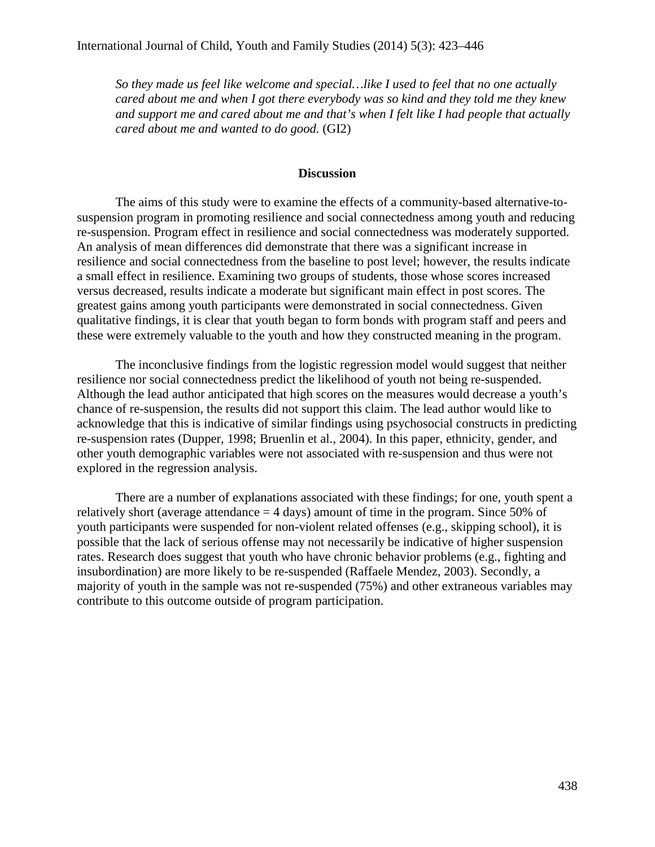*So they made us feel like welcome and special…like I used to feel that no one actually cared about me and when I got there everybody was so kind and they told me they knew and support me and cared about me and that's when I felt like I had people that actually cared about me and wanted to do good.* (GI2)

#### **Discussion**

The aims of this study were to examine the effects of a community-based alternative-tosuspension program in promoting resilience and social connectedness among youth and reducing re-suspension. Program effect in resilience and social connectedness was moderately supported. An analysis of mean differences did demonstrate that there was a significant increase in resilience and social connectedness from the baseline to post level; however, the results indicate a small effect in resilience. Examining two groups of students, those whose scores increased versus decreased, results indicate a moderate but significant main effect in post scores. The greatest gains among youth participants were demonstrated in social connectedness. Given qualitative findings, it is clear that youth began to form bonds with program staff and peers and these were extremely valuable to the youth and how they constructed meaning in the program.

The inconclusive findings from the logistic regression model would suggest that neither resilience nor social connectedness predict the likelihood of youth not being re-suspended. Although the lead author anticipated that high scores on the measures would decrease a youth's chance of re-suspension, the results did not support this claim. The lead author would like to acknowledge that this is indicative of similar findings using psychosocial constructs in predicting re-suspension rates (Dupper, 1998; Bruenlin et al., 2004). In this paper, ethnicity, gender, and other youth demographic variables were not associated with re-suspension and thus were not explored in the regression analysis.

There are a number of explanations associated with these findings; for one, youth spent a relatively short (average attendance  $=$  4 days) amount of time in the program. Since 50% of youth participants were suspended for non-violent related offenses (e.g., skipping school), it is possible that the lack of serious offense may not necessarily be indicative of higher suspension rates. Research does suggest that youth who have chronic behavior problems (e.g., fighting and insubordination) are more likely to be re-suspended (Raffaele Mendez, 2003). Secondly, a majority of youth in the sample was not re-suspended (75%) and other extraneous variables may contribute to this outcome outside of program participation.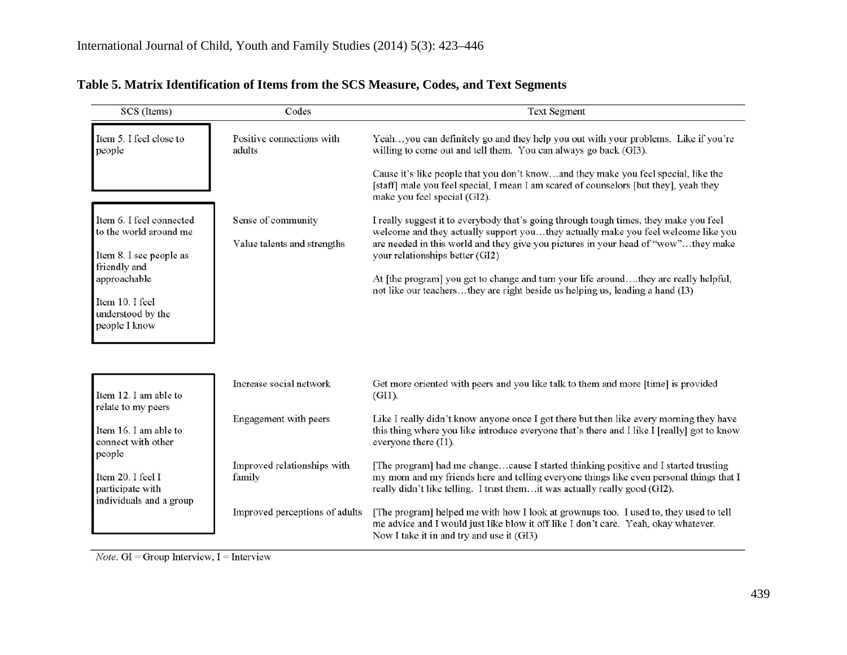| SCS (Items)                                                                                                                                     | Codes                                             | <b>Text Segment</b>                                                                                                                                                                                                                                                                                                                                                                                                                                                          |
|-------------------------------------------------------------------------------------------------------------------------------------------------|---------------------------------------------------|------------------------------------------------------------------------------------------------------------------------------------------------------------------------------------------------------------------------------------------------------------------------------------------------------------------------------------------------------------------------------------------------------------------------------------------------------------------------------|
| Item 5. I feel close to<br>people                                                                                                               | Positive connections with<br>adults               | Yeahyou can definitely go and they help you out with your problems. Like if you're<br>willing to come out and tell them. You can always go back (GI3).                                                                                                                                                                                                                                                                                                                       |
|                                                                                                                                                 |                                                   | Cause it's like people that you don't knowand they make you feel special, like the<br>[staff] male you feel special, I mean I am scared of counselors [but they], yeah they<br>make you feel special (GI2).                                                                                                                                                                                                                                                                  |
| Item 6. I feel connected<br>to the world around me<br>Item 8. I see people as<br>friendly and<br>approachable<br>Item 10. I feel                | Sense of community<br>Value talents and strengths | I really suggest it to everybody that's going through tough times, they make you feel<br>welcome and they actually support youthey actually make you feel welcome like you<br>are needed in this world and they give you pictures in your head of "wow"they make<br>your relationships better (GI2)<br>At [the program] you get to change and turn your life aroundthey are really helpful,<br>not like our teachersthey are right beside us helping us, lending a hand (I3) |
| understood by the<br>people I know                                                                                                              |                                                   |                                                                                                                                                                                                                                                                                                                                                                                                                                                                              |
| Item 12. I am able to                                                                                                                           | Increase social network                           | Get more oriented with peers and you like talk to them and more [time] is provided<br>$(GI1)$ .                                                                                                                                                                                                                                                                                                                                                                              |
| relate to my peers<br>Item 16. I am able to<br>connect with other<br>people<br>Item 20. I feel I<br>participate with<br>individuals and a group | Engagement with peers                             | Like I really didn't know anyone once I got there but then like every morning they have<br>this thing where you like introduce everyone that's there and I like I [really] got to know<br>everyone there (I1).                                                                                                                                                                                                                                                               |
|                                                                                                                                                 | Improved relationships with<br>family             | [The program] had me changecause I started thinking positive and I started trusting<br>my mom and my friends here and telling everyone things like even personal things that I<br>really didn't like telling. I trust themit was actually really good (GI2).                                                                                                                                                                                                                 |
|                                                                                                                                                 | Improved perceptions of adults                    | [The program] helped me with how I look at grownups too. I used to, they used to tell<br>me advice and I would just like blow it off like I don't care. Yeah, okay whatever.<br>Now I take it in and try and use it (GI3)                                                                                                                                                                                                                                                    |

# **Table 5. Matrix Identification of Items from the SCS Measure, Codes, and Text Segments**

*Note*.  $GI = Group$  *Interview*,  $I =$  *Interview*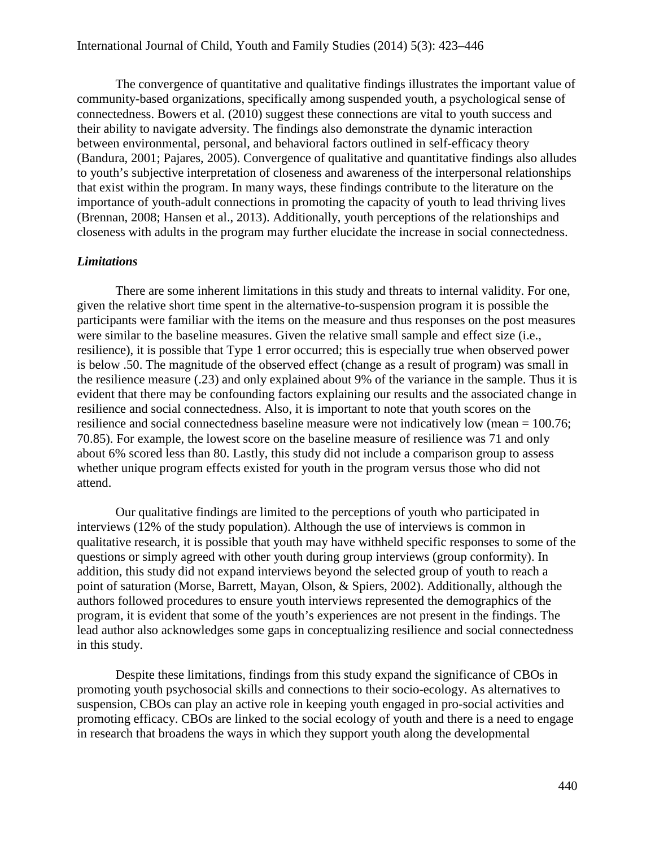The convergence of quantitative and qualitative findings illustrates the important value of community-based organizations, specifically among suspended youth, a psychological sense of connectedness. Bowers et al. (2010) suggest these connections are vital to youth success and their ability to navigate adversity. The findings also demonstrate the dynamic interaction between environmental, personal, and behavioral factors outlined in self-efficacy theory (Bandura, 2001; Pajares, 2005). Convergence of qualitative and quantitative findings also alludes to youth's subjective interpretation of closeness and awareness of the interpersonal relationships that exist within the program. In many ways, these findings contribute to the literature on the importance of youth-adult connections in promoting the capacity of youth to lead thriving lives (Brennan, 2008; Hansen et al., 2013). Additionally, youth perceptions of the relationships and closeness with adults in the program may further elucidate the increase in social connectedness.

#### *Limitations*

There are some inherent limitations in this study and threats to internal validity. For one, given the relative short time spent in the alternative-to-suspension program it is possible the participants were familiar with the items on the measure and thus responses on the post measures were similar to the baseline measures. Given the relative small sample and effect size (i.e., resilience), it is possible that Type 1 error occurred; this is especially true when observed power is below .50. The magnitude of the observed effect (change as a result of program) was small in the resilience measure (.23) and only explained about 9% of the variance in the sample. Thus it is evident that there may be confounding factors explaining our results and the associated change in resilience and social connectedness. Also, it is important to note that youth scores on the resilience and social connectedness baseline measure were not indicatively low (mean = 100.76; 70.85). For example, the lowest score on the baseline measure of resilience was 71 and only about 6% scored less than 80. Lastly, this study did not include a comparison group to assess whether unique program effects existed for youth in the program versus those who did not attend.

Our qualitative findings are limited to the perceptions of youth who participated in interviews (12% of the study population). Although the use of interviews is common in qualitative research, it is possible that youth may have withheld specific responses to some of the questions or simply agreed with other youth during group interviews (group conformity). In addition, this study did not expand interviews beyond the selected group of youth to reach a point of saturation (Morse, Barrett, Mayan, Olson, & Spiers, 2002). Additionally, although the authors followed procedures to ensure youth interviews represented the demographics of the program, it is evident that some of the youth's experiences are not present in the findings. The lead author also acknowledges some gaps in conceptualizing resilience and social connectedness in this study.

Despite these limitations, findings from this study expand the significance of CBOs in promoting youth psychosocial skills and connections to their socio-ecology. As alternatives to suspension, CBOs can play an active role in keeping youth engaged in pro-social activities and promoting efficacy. CBOs are linked to the social ecology of youth and there is a need to engage in research that broadens the ways in which they support youth along the developmental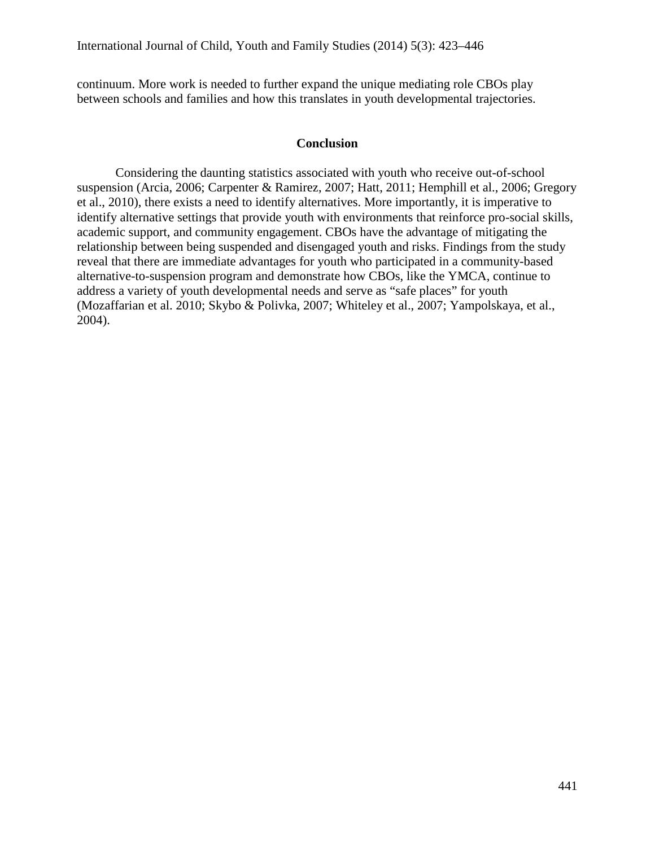continuum. More work is needed to further expand the unique mediating role CBOs play between schools and families and how this translates in youth developmental trajectories.

#### **Conclusion**

Considering the daunting statistics associated with youth who receive out-of-school suspension (Arcia, 2006; Carpenter & Ramirez, 2007; Hatt, 2011; Hemphill et al., 2006; Gregory et al., 2010), there exists a need to identify alternatives. More importantly, it is imperative to identify alternative settings that provide youth with environments that reinforce pro-social skills, academic support, and community engagement. CBOs have the advantage of mitigating the relationship between being suspended and disengaged youth and risks. Findings from the study reveal that there are immediate advantages for youth who participated in a community-based alternative-to-suspension program and demonstrate how CBOs, like the YMCA, continue to address a variety of youth developmental needs and serve as "safe places" for youth (Mozaffarian et al. 2010; Skybo & Polivka, 2007; Whiteley et al., 2007; Yampolskaya, et al., 2004).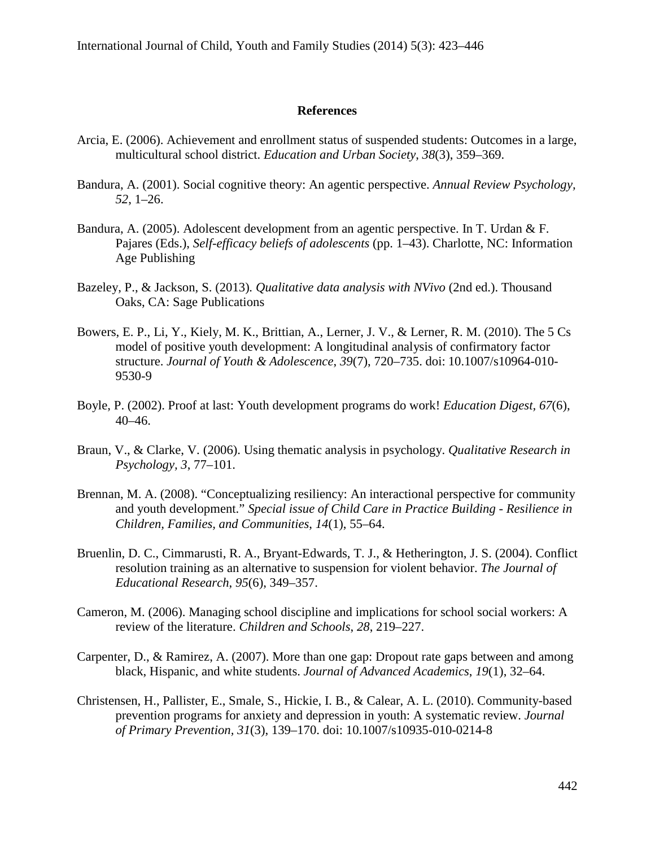#### **References**

- Arcia, E. (2006). Achievement and enrollment status of suspended students: Outcomes in a large, multicultural school district. *Education and Urban Society*, *38*(3), 359–369.
- Bandura, A. (2001). Social cognitive theory: An agentic perspective. *Annual Review Psychology, 52*, 1–26.
- Bandura, A. (2005). Adolescent development from an agentic perspective. In T. Urdan & F. Pajares (Eds.), *Self-efficacy beliefs of adolescents* (pp. 1–43). Charlotte, NC: Information Age Publishing
- Bazeley, P., & Jackson, S. (2013)*. Qualitative data analysis with NVivo* (2nd ed.). Thousand Oaks, CA: Sage Publications
- Bowers, E. P., Li, Y., Kiely, M. K., Brittian, A., Lerner, J. V., & Lerner, R. M. (2010). The 5 Cs model of positive youth development: A longitudinal analysis of confirmatory factor structure. *Journal of Youth & Adolescence*, *39*(7), 720–735. doi: 10.1007/s10964-010- 9530-9
- Boyle, P. (2002). Proof at last: Youth development programs do work! *Education Digest, 67*(6), 40–46.
- Braun, V., & Clarke, V. (2006). Using thematic analysis in psychology. *Qualitative Research in Psychology, 3*, 77–101. http://dx.doi.org/10.1191/1478088706qp063oa
- Brennan, M. A. (2008). "Conceptualizing resiliency: An interactional perspective for community and youth development." *Special issue of Child Care in Practice Building - Resilience in Children, Families, and Communities*, *14*(1), 55–64.
- Bruenlin, D. C., Cimmarusti, R. A., Bryant-Edwards, T. J., & Hetherington, J. S. (2004). Conflict resolution training as an alternative to suspension for violent behavior. *The Journal of Educational Research*, *95*(6), 349–357.
- Cameron, M. (2006). Managing school discipline and implications for school social workers: A review of the literature. *Children and Schools*, *28*, 219–227.
- Carpenter, D., & Ramirez, A. (2007). More than one gap: Dropout rate gaps between and among black, Hispanic, and white students. *Journal of Advanced Academics*, *19*(1), 32–64.
- Christensen, H., Pallister, E., Smale, S., Hickie, I. B., & Calear, A. L. (2010). Community-based prevention programs for anxiety and depression in youth: A systematic review. *Journal of Primary Prevention, 31*(3), 139–170. doi: 10.1007/s10935-010-0214-8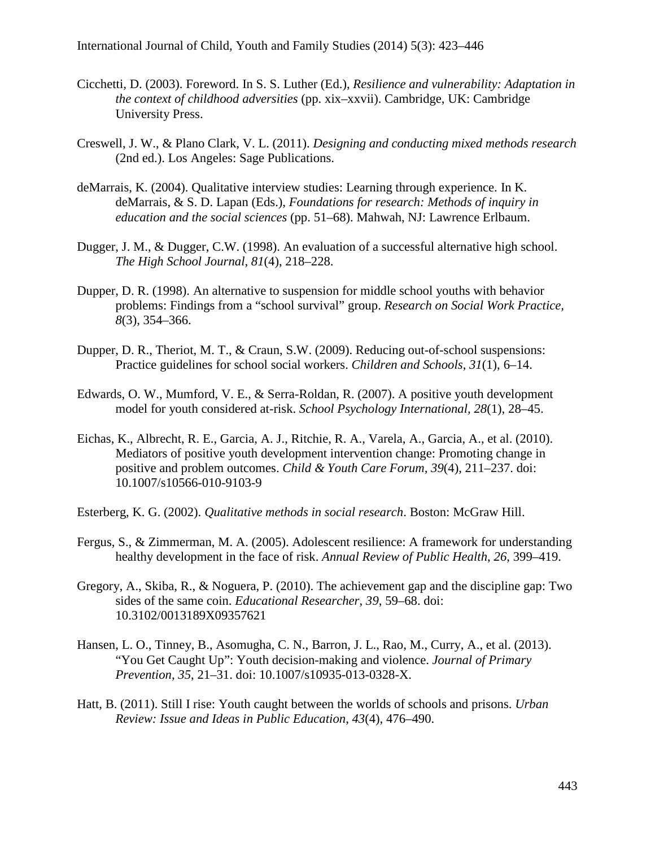- Cicchetti, D. (2003). Foreword. In S. S. Luther (Ed.), *Resilience and vulnerability: Adaptation in the context of childhood adversities* (pp. xix–xxvii). Cambridge, UK: Cambridge University Press.
- Creswell, J. W., & Plano Clark, V. L. (2011). *Designing and conducting mixed methods research*  (2nd ed.). Los Angeles: Sage Publications.
- deMarrais, K. (2004). Qualitative interview studies: Learning through experience. In K. deMarrais, & S. D. Lapan (Eds.), *Foundations for research: Methods of inquiry in education and the social sciences* (pp. 51–68). Mahwah, NJ: Lawrence Erlbaum.
- Dugger, J. M., & Dugger, C.W. (1998). An evaluation of a successful alternative high school. *The High School Journal*, *81*(4), 218–228.
- Dupper, D. R. (1998). An alternative to suspension for middle school youths with behavior problems: Findings from a "school survival" group. *Research on Social Work Practice, 8*(3), 354–366.
- Dupper, D. R., Theriot, M. T., & Craun, S.W. (2009). Reducing out-of-school suspensions: Practice guidelines for school social workers. *Children and Schools*, *31*(1), 6–14.
- Edwards, O. W., Mumford, V. E., & Serra-Roldan, R. (2007). A positive youth development model for youth considered at-risk. *School Psychology International, 28*(1), 28–45.
- Eichas, K., Albrecht, R. E., Garcia, A. J., Ritchie, R. A., Varela, A., Garcia, A., et al. (2010). Mediators of positive youth development intervention change: Promoting change in positive and problem outcomes. *Child & Youth Care Forum, 39*(4), 211–237. doi: 10.1007/s10566-010-9103-9
- Esterberg, K. G. (2002). *Qualitative methods in social research*. Boston: McGraw Hill.
- Fergus, S., & Zimmerman, M. A. (2005). Adolescent resilience: A framework for understanding healthy development in the face of risk. *Annual Review of Public Health*, *26*, 399–419.
- Gregory, A., Skiba, R., & Noguera, P. (2010). The achievement gap and the discipline gap: Two sides of the same coin. *Educational Researcher*, *39*, 59–68. doi: 10.3102/0013189X09357621
- Hansen, L. O., Tinney, B., Asomugha, C. N., Barron, J. L., Rao, M., Curry, A., et al. (2013). "You Get Caught Up": Youth decision-making and violence. *Journal of Primary Prevention, 35*, 21–31. doi: 10.1007/s10935-013-0328-X.
- Hatt, B. (2011). Still I rise: Youth caught between the worlds of schools and prisons. *Urban Review: Issue and Ideas in Public Education*, *43*(4), 476–490.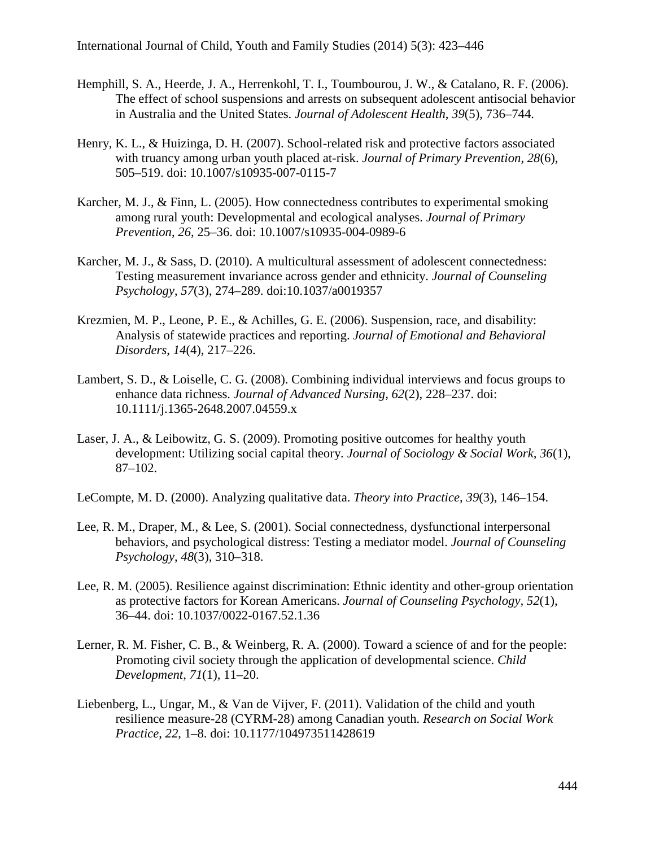International Journal of Child, Youth and Family Studies (2014) 5(3): 423–446

- Hemphill, S. A., Heerde, J. A., Herrenkohl, T. I., Toumbourou, J. W., & Catalano, R. F. (2006). The effect of school suspensions and arrests on subsequent adolescent antisocial behavior in Australia and the United States. *Journal of Adolescent Health*, *39*(5), 736–744.
- Henry, K. L., & Huizinga, D. H. (2007). School-related risk and protective factors associated with truancy among urban youth placed at-risk. *Journal of Primary Prevention, 28*(6), 505–519. doi: 10.1007/s10935-007-0115-7
- Karcher, M. J., & Finn, L. (2005). How connectedness contributes to experimental smoking among rural youth: Developmental and ecological analyses. *Journal of Primary Prevention*, *26*, 25–36. doi: 10.1007/s10935-004-0989-6
- Karcher, M. J., & Sass, D. (2010). A multicultural assessment of adolescent connectedness: Testing measurement invariance across gender and ethnicity. *Journal of Counseling Psychology*, *57*(3), 274–289. doi:10.1037/a0019357
- Krezmien, M. P., Leone, P. E., & Achilles, G. E. (2006). Suspension, race, and disability: Analysis of statewide practices and reporting. *Journal of Emotional and Behavioral Disorders*, *14*(4), 217–226.
- Lambert, S. D., & Loiselle, C. G. (2008). Combining individual interviews and focus groups to enhance data richness. *Journal of Advanced Nursing*, *62*(2), 228–237. doi: 10.1111/j.1365-2648.2007.04559.x
- Laser, J. A., & Leibowitz, G. S. (2009). Promoting positive outcomes for healthy youth development: Utilizing social capital theory. *Journal of Sociology & Social Work, 36*(1), 87–102.
- LeCompte, M. D. (2000). Analyzing qualitative data. *Theory into Practice, 39*(3), 146–154.
- Lee, R. M., Draper, M., & Lee, S. (2001). Social connectedness, dysfunctional interpersonal behaviors, and psychological distress: Testing a mediator model. *Journal of Counseling Psychology*, *48*(3), 310–318.
- Lee, R. M. (2005). Resilience against discrimination: Ethnic identity and other-group orientation as protective factors for Korean Americans. *Journal of Counseling Psychology, 52*(1), 36–44. doi: 10.1037/0022-0167.52.1.36
- Lerner, R. M. Fisher, C. B., & Weinberg, R. A. (2000). Toward a science of and for the people: Promoting civil society through the application of developmental science. *Child Development, 71*(1), 11–20.
- Liebenberg, L., Ungar, M., & Van de Vijver, F. (2011). Validation of the child and youth resilience measure-28 (CYRM-28) among Canadian youth. *Research on Social Work Practice*, *22*, 1–8. doi: 10.1177/104973511428619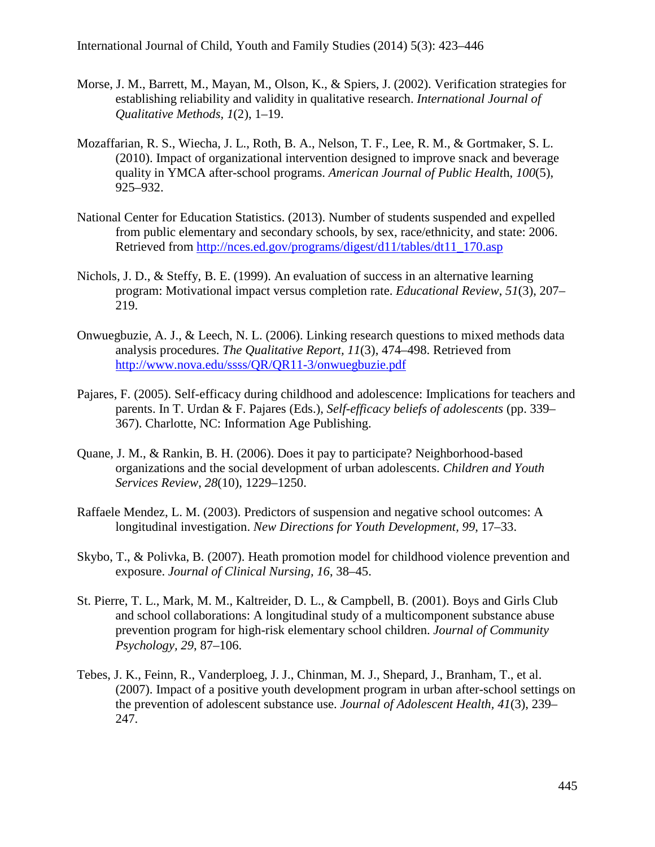- Morse, J. M., Barrett, M., Mayan, M., Olson, K., & Spiers, J. (2002). Verification strategies for establishing reliability and validity in qualitative research. *International Journal of Qualitative Methods, 1*(2), 1–19.
- Mozaffarian, R. S., Wiecha, J. L., Roth, B. A., Nelson, T. F., Lee, R. M., & Gortmaker, S. L. (2010). Impact of organizational intervention designed to improve snack and beverage quality in YMCA after-school programs. *American Journal of Public Healt*h, *100*(5), 925–932.
- National Center for Education Statistics. (2013). Number of students suspended and expelled from public elementary and secondary schools, by sex, race/ethnicity, and state: 2006. Retrieved from [http://nces.ed.gov/programs/digest/d11/tables/dt11\\_170.asp](http://nces.ed.gov/programs/digest/d11/tables/dt11_170.asp)
- Nichols, J. D., & Steffy, B. E. (1999). An evaluation of success in an alternative learning program: Motivational impact versus completion rate. *Educational Review*, *51*(3), 207– 219.
- Onwuegbuzie, A. J., & Leech, N. L. (2006). Linking research questions to mixed methods data analysis procedures. *The Qualitative Report, 11*(3), 474–498. Retrieved from <http://www.nova.edu/ssss/QR/QR11-3/onwuegbuzie.pdf>
- Pajares, F. (2005). Self-efficacy during childhood and adolescence: Implications for teachers and parents. In T. Urdan & F. Pajares (Eds.), *Self-efficacy beliefs of adolescents* (pp. 339– 367). Charlotte, NC: Information Age Publishing.
- Quane, J. M., & Rankin, B. H. (2006). Does it pay to participate? Neighborhood-based organizations and the social development of urban adolescents. *Children and Youth Services Review*, *28*(10), 1229–1250.
- Raffaele Mendez, L. M. (2003). Predictors of suspension and negative school outcomes: A longitudinal investigation. *New Directions for Youth Development, 99*, 17–33.
- Skybo, T., & Polivka, B. (2007). Heath promotion model for childhood violence prevention and exposure. *Journal of Clinical Nursing, 16*, 38–45.
- St. Pierre, T. L., Mark, M. M., Kaltreider, D. L., & Campbell, B. (2001). Boys and Girls Club and school collaborations: A longitudinal study of a multicomponent substance abuse prevention program for high-risk elementary school children. *Journal of Community Psychology, 29*, 87–106.
- Tebes, J. K., Feinn, R., Vanderploeg, J. J., Chinman, M. J., Shepard, J., Branham, T., et al. (2007). Impact of a positive youth development program in urban after-school settings on the prevention of adolescent substance use. *Journal of Adolescent Health, 41*(3), 239– 247.